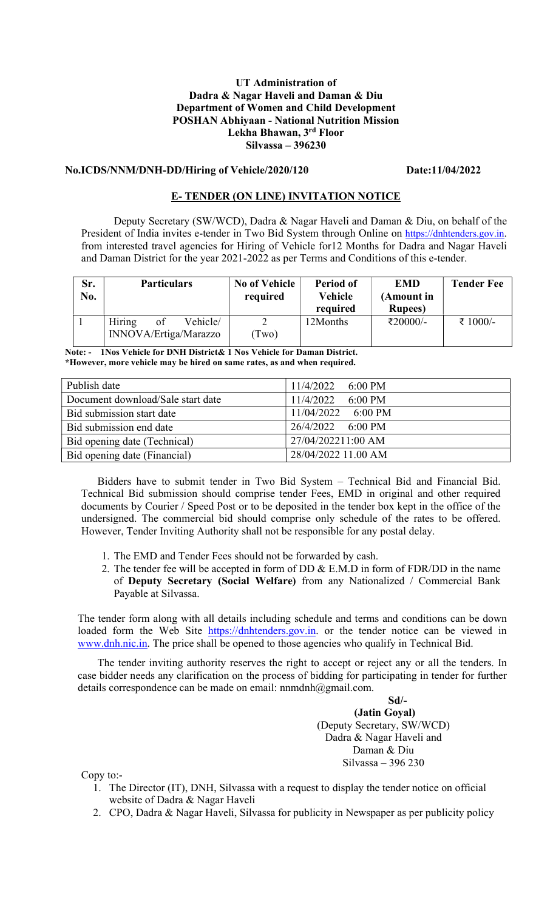### UT Administration of Dadra & Nagar Haveli and Daman & Diu Department of Women and Child Development POSHAN Abhiyaan - National Nutrition Mission Lekha Bhawan, 3rd Floor Silvassa – 396230

## No.ICDS/NNM/DNH-DD/Hiring of Vehicle/2020/120 Date:11/04/2022

#### E- TENDER (ON LINE) INVITATION NOTICE

Deputy Secretary (SW/WCD), Dadra & Nagar Haveli and Daman & Diu, on behalf of the President of India invites e-tender in Two Bid System through Online on https://dnhtenders.gov.in. from interested travel agencies for Hiring of Vehicle for12 Months for Dadra and Nagar Haveli and Daman District for the year 2021-2022 as per Terms and Conditions of this e-tender.

| Sr.<br>No. | <b>Particulars</b>                                | <b>No of Vehicle</b><br>required | Period of<br>Vehicle<br>required | <b>EMD</b><br>(Amount in<br><b>Rupees</b> ) | <b>Tender Fee</b> |
|------------|---------------------------------------------------|----------------------------------|----------------------------------|---------------------------------------------|-------------------|
|            | Hiring<br>Vehicle/<br>of<br>INNOVA/Ertiga/Marazzo | Two)                             | 12Months                         | ₹20000/-                                    | ₹ 1000/-          |

Note: - 1Nos Vehicle for DNH District& 1 Nos Vehicle for Daman District. \*However, more vehicle may be hired on same rates, as and when required.

| Publish date                      | $11/4/2022$ 6:00 PM            |
|-----------------------------------|--------------------------------|
| Document download/Sale start date | 11/4/2022<br>$6:00 \text{ PM}$ |
| Bid submission start date         | $11/04/2022$ 6:00 PM           |
| Bid submission end date           | 26/4/2022 6:00 PM              |
| Bid opening date (Technical)      | 27/04/202211:00 AM             |
| Bid opening date (Financial)      | 28/04/2022 11.00 AM            |

Bidders have to submit tender in Two Bid System – Technical Bid and Financial Bid. Technical Bid submission should comprise tender Fees, EMD in original and other required documents by Courier / Speed Post or to be deposited in the tender box kept in the office of the undersigned. The commercial bid should comprise only schedule of the rates to be offered. However, Tender Inviting Authority shall not be responsible for any postal delay.

- 1. The EMD and Tender Fees should not be forwarded by cash.
- 2. The tender fee will be accepted in form of DD & E.M.D in form of FDR/DD in the name of Deputy Secretary (Social Welfare) from any Nationalized / Commercial Bank Payable at Silvassa.

The tender form along with all details including schedule and terms and conditions can be down loaded form the Web Site https://dnhtenders.gov.in. or the tender notice can be viewed in www.dnh.nic.in. The price shall be opened to those agencies who qualify in Technical Bid.

The tender inviting authority reserves the right to accept or reject any or all the tenders. In case bidder needs any clarification on the process of bidding for participating in tender for further details correspondence can be made on email: nnmdnh@gmail.com.

> Sd/- (Jatin Goyal) (Deputy Secretary, SW/WCD) Dadra & Nagar Haveli and Daman & Diu Silvassa – 396 230

Copy to:-

- 1. The Director (IT), DNH, Silvassa with a request to display the tender notice on official website of Dadra & Nagar Haveli
- 2. CPO, Dadra & Nagar Haveli, Silvassa for publicity in Newspaper as per publicity policy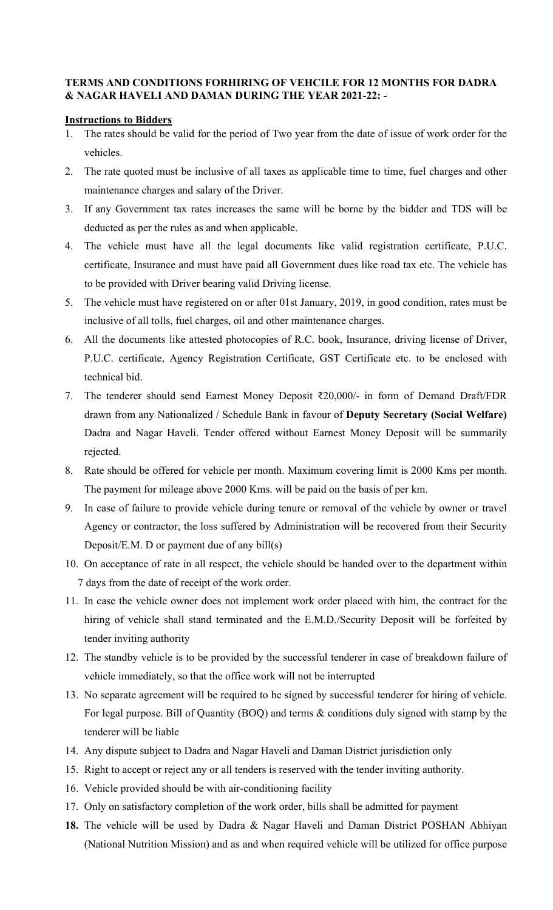## TERMS AND CONDITIONS FORHIRING OF VEHCILE FOR 12 MONTHS FOR DADRA & NAGAR HAVELI AND DAMAN DURING THE YEAR 2021-22: -

#### Instructions to Bidders

- 1. The rates should be valid for the period of Two year from the date of issue of work order for the vehicles.
- 2. The rate quoted must be inclusive of all taxes as applicable time to time, fuel charges and other maintenance charges and salary of the Driver.
- 3. If any Government tax rates increases the same will be borne by the bidder and TDS will be deducted as per the rules as and when applicable.
- 4. The vehicle must have all the legal documents like valid registration certificate, P.U.C. certificate, Insurance and must have paid all Government dues like road tax etc. The vehicle has to be provided with Driver bearing valid Driving license.
- 5. The vehicle must have registered on or after 01st January, 2019, in good condition, rates must be inclusive of all tolls, fuel charges, oil and other maintenance charges.
- 6. All the documents like attested photocopies of R.C. book, Insurance, driving license of Driver, P.U.C. certificate, Agency Registration Certificate, GST Certificate etc. to be enclosed with technical bid.
- 7. The tenderer should send Earnest Money Deposit ₹20,000/- in form of Demand Draft/FDR drawn from any Nationalized / Schedule Bank in favour of Deputy Secretary (Social Welfare) Dadra and Nagar Haveli. Tender offered without Earnest Money Deposit will be summarily rejected.
- 8. Rate should be offered for vehicle per month. Maximum covering limit is 2000 Kms per month. The payment for mileage above 2000 Kms. will be paid on the basis of per km.
- 9. In case of failure to provide vehicle during tenure or removal of the vehicle by owner or travel Agency or contractor, the loss suffered by Administration will be recovered from their Security Deposit/E.M. D or payment due of any bill(s)
- 10. On acceptance of rate in all respect, the vehicle should be handed over to the department within 7 days from the date of receipt of the work order.
- 11. In case the vehicle owner does not implement work order placed with him, the contract for the hiring of vehicle shall stand terminated and the E.M.D./Security Deposit will be forfeited by tender inviting authority
- 12. The standby vehicle is to be provided by the successful tenderer in case of breakdown failure of vehicle immediately, so that the office work will not be interrupted
- 13. No separate agreement will be required to be signed by successful tenderer for hiring of vehicle. For legal purpose. Bill of Quantity (BOQ) and terms & conditions duly signed with stamp by the tenderer will be liable
- 14. Any dispute subject to Dadra and Nagar Haveli and Daman District jurisdiction only
- 15. Right to accept or reject any or all tenders is reserved with the tender inviting authority.
- 16. Vehicle provided should be with air-conditioning facility
- 17. Only on satisfactory completion of the work order, bills shall be admitted for payment
- 18. The vehicle will be used by Dadra & Nagar Haveli and Daman District POSHAN Abhiyan (National Nutrition Mission) and as and when required vehicle will be utilized for office purpose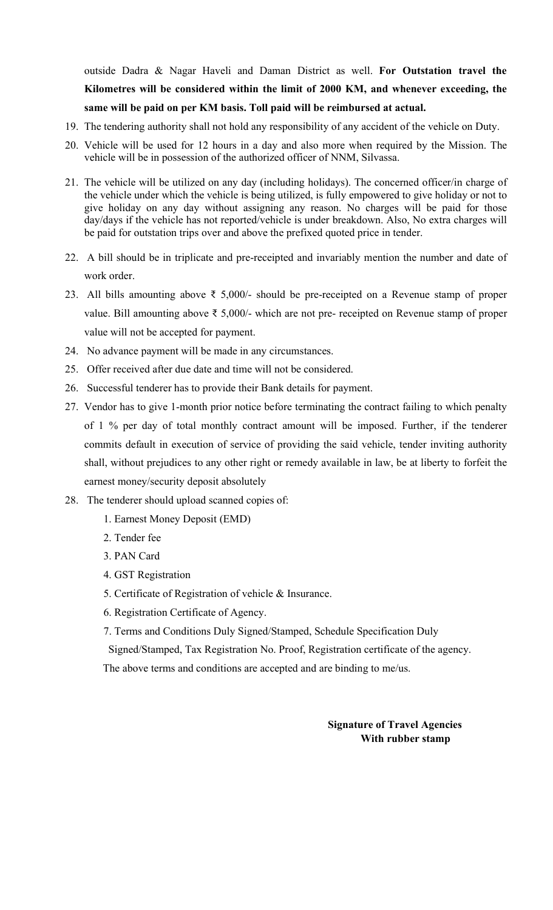outside Dadra & Nagar Haveli and Daman District as well. For Outstation travel the Kilometres will be considered within the limit of 2000 KM, and whenever exceeding, the same will be paid on per KM basis. Toll paid will be reimbursed at actual.

- 19. The tendering authority shall not hold any responsibility of any accident of the vehicle on Duty.
- 20. Vehicle will be used for 12 hours in a day and also more when required by the Mission. The vehicle will be in possession of the authorized officer of NNM, Silvassa.
- 21. The vehicle will be utilized on any day (including holidays). The concerned officer/in charge of the vehicle under which the vehicle is being utilized, is fully empowered to give holiday or not to give holiday on any day without assigning any reason. No charges will be paid for those day/days if the vehicle has not reported/vehicle is under breakdown. Also, No extra charges will be paid for outstation trips over and above the prefixed quoted price in tender.
- 22. A bill should be in triplicate and pre-receipted and invariably mention the number and date of work order.
- 23. All bills amounting above ₹ 5,000/- should be pre-receipted on a Revenue stamp of proper value. Bill amounting above ₹ 5,000/- which are not pre- receipted on Revenue stamp of proper value will not be accepted for payment.
- 24. No advance payment will be made in any circumstances.
- 25. Offer received after due date and time will not be considered.
- 26. Successful tenderer has to provide their Bank details for payment.
- 27. Vendor has to give 1-month prior notice before terminating the contract failing to which penalty of 1 % per day of total monthly contract amount will be imposed. Further, if the tenderer commits default in execution of service of providing the said vehicle, tender inviting authority shall, without prejudices to any other right or remedy available in law, be at liberty to forfeit the earnest money/security deposit absolutely
- 28. The tenderer should upload scanned copies of:
	- 1. Earnest Money Deposit (EMD)
	- 2. Tender fee
	- 3. PAN Card
	- 4. GST Registration
	- 5. Certificate of Registration of vehicle & Insurance.
	- 6. Registration Certificate of Agency.
	- 7. Terms and Conditions Duly Signed/Stamped, Schedule Specification Duly

Signed/Stamped, Tax Registration No. Proof, Registration certificate of the agency.

The above terms and conditions are accepted and are binding to me/us.

## Signature of Travel Agencies With rubber stamp